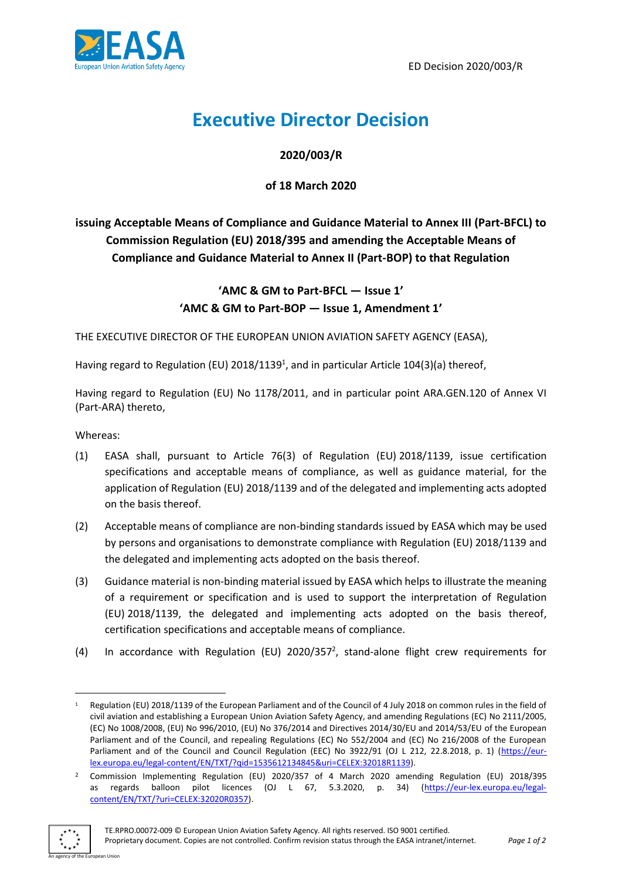

# **Executive Director Decision**

## **2020/003/R**

**of 18 March 2020**

**issuing Acceptable Means of Compliance and Guidance Material to Annex III (Part-BFCL) to Commission Regulation (EU) 2018/395 and amending the Acceptable Means of Compliance and Guidance Material to Annex II (Part-BOP) to that Regulation**

# **'AMC & GM to Part-BFCL — Issue 1' 'AMC & GM to Part-BOP — Issue 1, Amendment 1'**

THE EXECUTIVE DIRECTOR OF THE EUROPEAN UNION AVIATION SAFETY AGENCY (EASA),

Having regard to Regulation (EU) 2018/1139<sup>1</sup>, and in particular Article 104(3)(a) thereof,

Having regard to Regulation (EU) No 1178/2011, and in particular point ARA.GEN.120 of Annex VI (Part-ARA) thereto,

Whereas:

- (1) EASA shall, pursuant to Article 76(3) of Regulation (EU) 2018/1139, issue certification specifications and acceptable means of compliance, as well as guidance material, for the application of Regulation (EU) 2018/1139 and of the delegated and implementing acts adopted on the basis thereof.
- (2) Acceptable means of compliance are non-binding standards issued by EASA which may be used by persons and organisations to demonstrate compliance with Regulation (EU) 2018/1139 and the delegated and implementing acts adopted on the basis thereof.
- (3) Guidance material is non-binding material issued by EASA which helps to illustrate the meaning of a requirement or specification and is used to support the interpretation of Regulation (EU) 2018/1139, the delegated and implementing acts adopted on the basis thereof, certification specifications and acceptable means of compliance.
- (4) In accordance with Regulation (EU) 2020/357<sup>2</sup>, stand-alone flight crew requirements for

<sup>2</sup> Commission Implementing Regulation (EU) 2020/357 of 4 March 2020 amending Regulation (EU) 2018/395 as regards balloon pilot licences (OJ L 67, 5.3.2020, p. 34) [\(https://eur-lex.europa.eu/legal](https://eur-lex.europa.eu/legal-content/EN/TXT/?uri=CELEX:32020R0357)[content/EN/TXT/?uri=CELEX:32020R0357\)](https://eur-lex.europa.eu/legal-content/EN/TXT/?uri=CELEX:32020R0357).



1

<sup>1</sup> Regulation (EU) 2018/1139 of the European Parliament and of the Council of 4 July 2018 on common rules in the field of civil aviation and establishing a European Union Aviation Safety Agency, and amending Regulations (EC) No 2111/2005, (EC) No 1008/2008, (EU) No 996/2010, (EU) No 376/2014 and Directives 2014/30/EU and 2014/53/EU of the European Parliament and of the Council, and repealing Regulations (EC) No 552/2004 and (EC) No 216/2008 of the European Parliament and of the Council and Council Regulation (EEC) No 3922/91 (OJ L 212, 22.8.2018, p. 1) [\(https://eur](https://eur-lex.europa.eu/legal-content/EN/TXT/?qid=1535612134845&uri=CELEX:32018R1139)[lex.europa.eu/legal-content/EN/TXT/?qid=1535612134845&uri=CELEX:32018R1139\)](https://eur-lex.europa.eu/legal-content/EN/TXT/?qid=1535612134845&uri=CELEX:32018R1139).